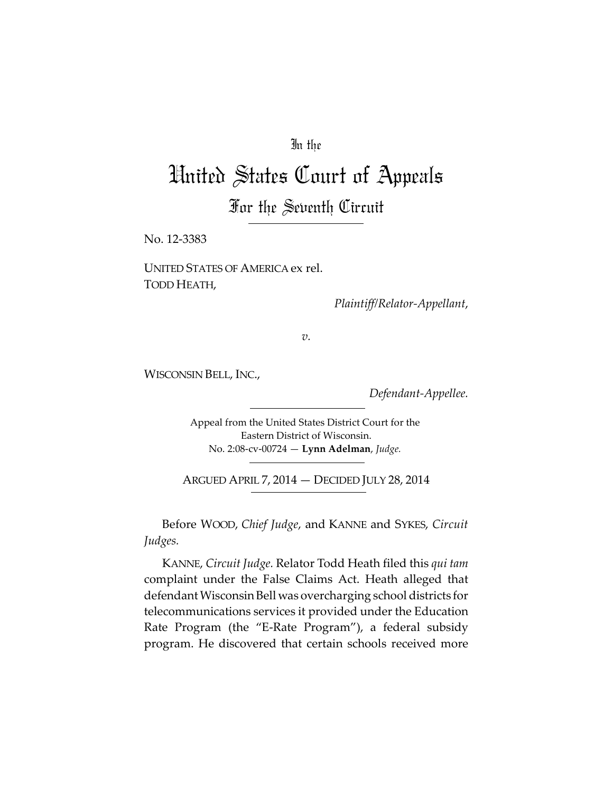## In the

# United States Court of Appeals

For the Seventh Circuit

No. 12-3383

UNITED STATES OF AMERICA ex rel. TODD HEATH,

*Plaintiff/Relator-Appellant*,

*v.*

WISCONSIN BELL, INC.,

*Defendant-Appellee.*

Appeal from the United States District Court for the Eastern District of Wisconsin. No. 2:08-cv-00724 — **Lynn Adelman**, *Judge.*

ARGUED APRIL 7, 2014 — DECIDED JULY 28, 2014

Before WOOD, *Chief Judge*, and KANNE and SYKES, *Circuit Judges.*

KANNE, *Circuit Judge.* Relator Todd Heath filed this *qui tam* complaint under the False Claims Act. Heath alleged that defendant Wisconsin Bell was overcharging school districts for telecommunications services it provided under the Education Rate Program (the "E-Rate Program"), a federal subsidy program. He discovered that certain schools received more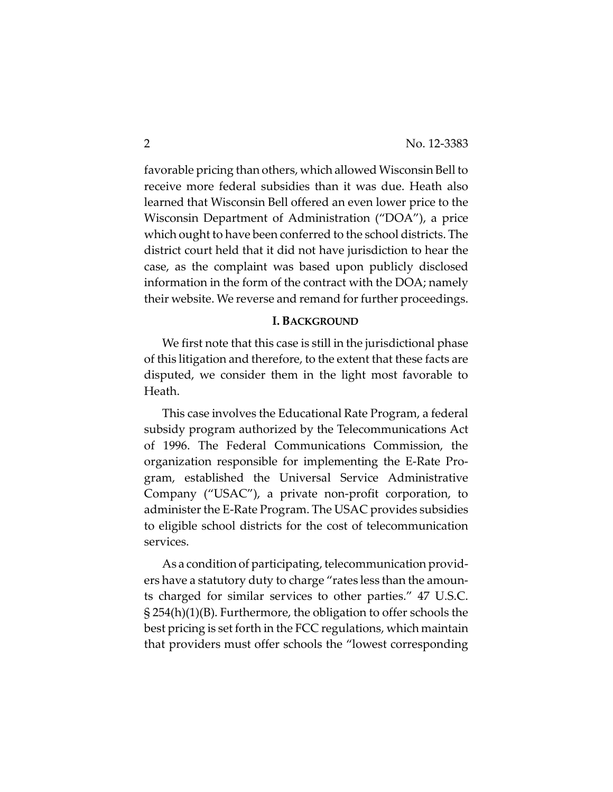favorable pricing than others, which allowed Wisconsin Bell to receive more federal subsidies than it was due. Heath also learned that Wisconsin Bell offered an even lower price to the Wisconsin Department of Administration ("DOA"), a price which ought to have been conferred to the school districts. The district court held that it did not have jurisdiction to hear the case, as the complaint was based upon publicly disclosed information in the form of the contract with the DOA; namely their website. We reverse and remand for further proceedings.

#### **I. BACKGROUND**

We first note that this case is still in the jurisdictional phase of this litigation and therefore, to the extent that these facts are disputed, we consider them in the light most favorable to Heath.

This case involves the Educational Rate Program, a federal subsidy program authorized by the Telecommunications Act of 1996. The Federal Communications Commission, the organization responsible for implementing the E-Rate Program, established the Universal Service Administrative Company ("USAC"), a private non-profit corporation, to administer the E-Rate Program. The USAC provides subsidies to eligible school districts for the cost of telecommunication services.

As a condition of participating, telecommunication providers have a statutory duty to charge "rates less than the amounts charged for similar services to other parties." 47 U.S.C. § 254(h)(1)(B). Furthermore, the obligation to offer schools the best pricing is set forth in the FCC regulations, which maintain that providers must offer schools the "lowest corresponding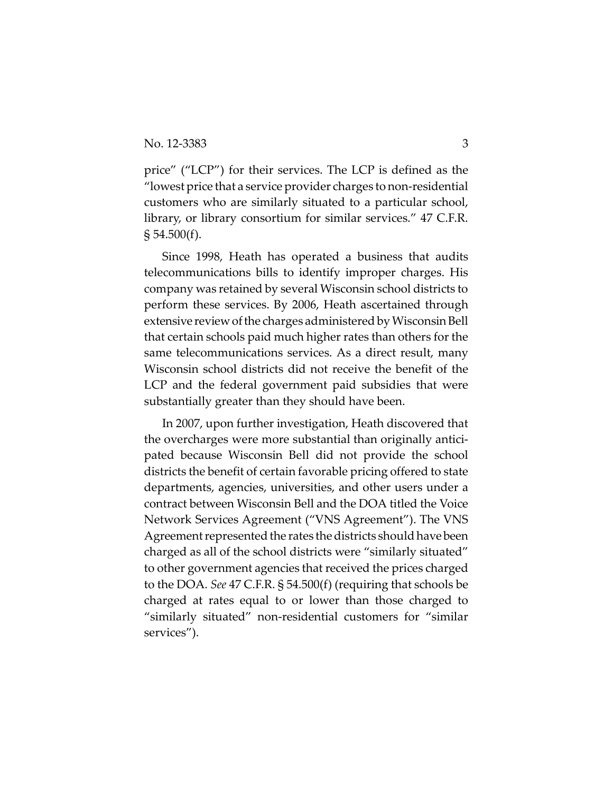price" ("LCP") for their services. The LCP is defined as the "lowest price that a service provider charges to non-residential customers who are similarly situated to a particular school, library, or library consortium for similar services." 47 C.F.R.  $\S 54.500(f)$ .

Since 1998, Heath has operated a business that audits telecommunications bills to identify improper charges. His company was retained by several Wisconsin school districts to perform these services. By 2006, Heath ascertained through extensive reviewofthe charges administered by Wisconsin Bell that certain schools paid much higher rates than others for the same telecommunications services. As a direct result, many Wisconsin school districts did not receive the benefit of the LCP and the federal government paid subsidies that were substantially greater than they should have been.

In 2007, upon further investigation, Heath discovered that the overcharges were more substantial than originally anticipated because Wisconsin Bell did not provide the school districts the benefit of certain favorable pricing offered to state departments, agencies, universities, and other users under a contract between Wisconsin Bell and the DOA titled the Voice Network Services Agreement ("VNS Agreement"). The VNS Agreement represented the rates the districts should have been charged as all of the school districts were "similarly situated" to other government agencies that received the prices charged to the DOA. *See* 47 C.F.R. § 54.500(f) (requiring that schools be charged at rates equal to or lower than those charged to "similarly situated" non-residential customers for "similar services").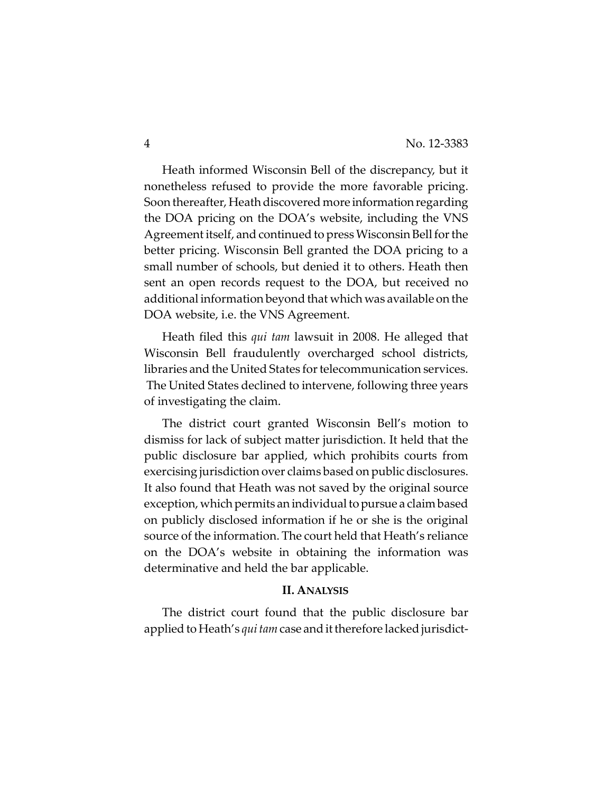Heath informed Wisconsin Bell of the discrepancy, but it nonetheless refused to provide the more favorable pricing. Soon thereafter, Heath discovered more informationregarding the DOA pricing on the DOA's website, including the VNS Agreement itself, and continued to press Wisconsin Bell for the better pricing. Wisconsin Bell granted the DOA pricing to a small number of schools, but denied it to others. Heath then sent an open records request to the DOA, but received no additional information beyond that which was available on the DOA website, i.e. the VNS Agreement.

Heath filed this *qui tam* lawsuit in 2008. He alleged that Wisconsin Bell fraudulently overcharged school districts, libraries and the United States for telecommunication services. The United States declined to intervene, following three years of investigating the claim.

The district court granted Wisconsin Bell's motion to dismiss for lack of subject matter jurisdiction. It held that the public disclosure bar applied, which prohibits courts from exercising jurisdiction over claims based on public disclosures. It also found that Heath was not saved by the original source exception, which permits an individual topursue a claim based on publicly disclosed information if he or she is the original source of the information. The court held that Heath's reliance on the DOA's website in obtaining the information was determinative and held the bar applicable.

#### **II. ANALYSIS**

The district court found that the public disclosure bar applied to Heath's *qui tam*case and it therefore lacked jurisdict-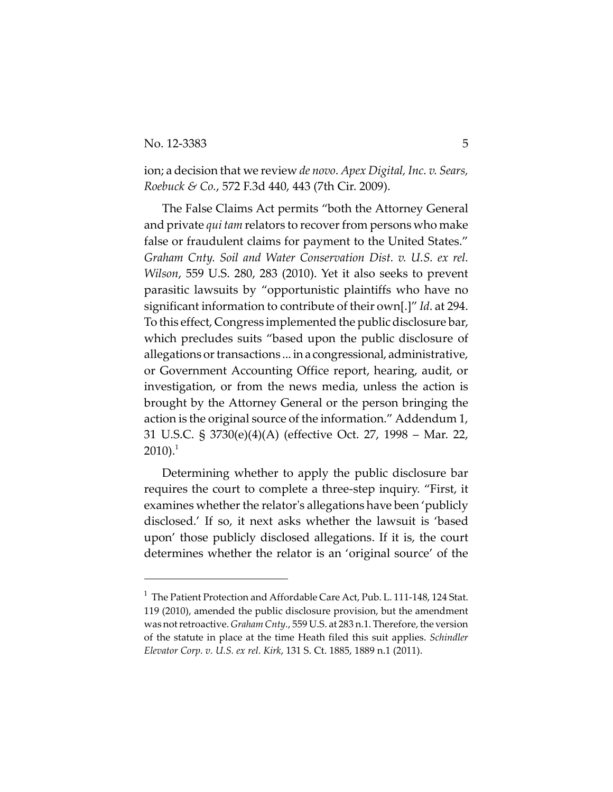### No. 12-3383 5

ion; a decision that we review *de novo*. *Apex Digital, Inc. v. Sears, Roebuck & Co.*, 572 F.3d 440, 443 (7th Cir. 2009).

The False Claims Act permits "both the Attorney General and private *qui tam* relators to recover from persons who make false or fraudulent claims for payment to the United States." *Graham Cnty. Soil and Water Conservation Dist. v. U.S. ex rel. Wilson*, 559 U.S. 280, 283 (2010). Yet it also seeks to prevent parasitic lawsuits by "opportunistic plaintiffs who have no significant information to contribute of their own[.]" *Id*. at 294. To this effect, Congress implemented the public disclosure bar, which precludes suits "based upon the public disclosure of allegations or transactions ... in a congressional, administrative, or Government Accounting Office report, hearing, audit, or investigation, or from the news media, unless the action is brought by the Attorney General or the person bringing the action is the original source of the information." Addendum 1, 31 U.S.C. § 3730(e)(4)(A) (effective Oct. 27, 1998 – Mar. 22,  $2010$ ).<sup>1</sup>

Determining whether to apply the public disclosure bar requires the court to complete a three-step inquiry. "First, it examines whether the relator's allegations have been 'publicly disclosed.' If so, it next asks whether the lawsuit is 'based upon' those publicly disclosed allegations. If it is, the court determines whether the relator is an 'original source' of the

 $1$  The Patient Protection and Affordable Care Act, Pub. L. 111-148, 124 Stat. 119 (2010), amended the public disclosure provision, but the amendment was not retroactive. *Graham Cnty.*, 559 U.S. at 283 n.1. Therefore, the version of the statute in place at the time Heath filed this suit applies. *Schindler Elevator Corp. v. U.S. ex rel. Kirk*, 131 S. Ct. 1885, 1889 n.1 (2011).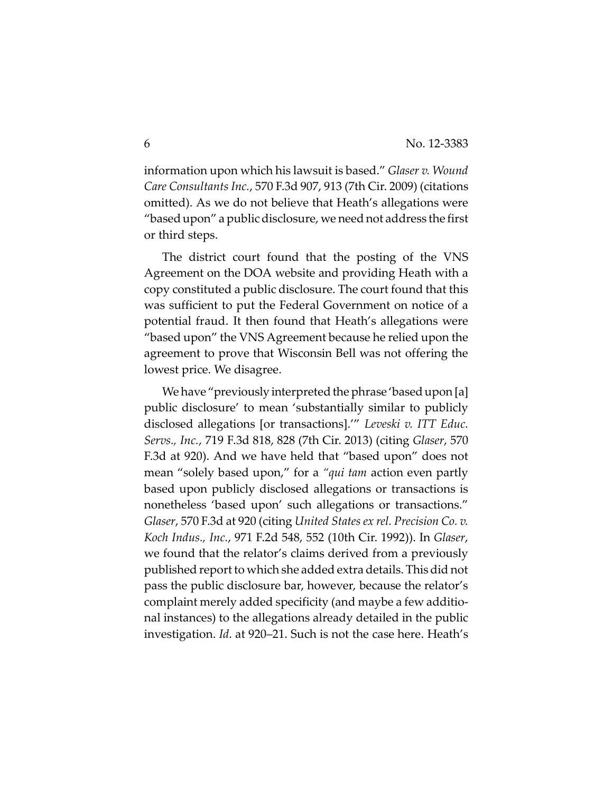information upon which his lawsuit is based." *Glaser v. Wound Care Consultants Inc.*, 570 F.3d 907, 913 (7th Cir. 2009) (citations omitted). As we do not believe that Heath's allegations were "based upon" a public disclosure, we need not address the first or third steps.

The district court found that the posting of the VNS Agreement on the DOA website and providing Heath with a copy constituted a public disclosure. The court found that this was sufficient to put the Federal Government on notice of a potential fraud. It then found that Heath's allegations were "based upon" the VNS Agreement because he relied upon the agreement to prove that Wisconsin Bell was not offering the lowest price. We disagree.

We have "previously interpreted the phrase 'based upon [a] public disclosure' to mean 'substantially similar to publicly disclosed allegations [or transactions].'" *Leveski v. ITT Educ. Servs., Inc.*, 719 F.3d 818, 828 (7th Cir. 2013) (citing *Glaser*, 570 F.3d at 920). And we have held that "based upon" does not mean "solely based upon," for a *"qui tam* action even partly based upon publicly disclosed allegations or transactions is nonetheless 'based upon' such allegations or transactions." *Glaser*, 570 F.3d at 920 (citing *United States ex rel. Precision Co. v. Koch Indus., Inc.*, 971 F.2d 548, 552 (10th Cir. 1992)). In *Glaser*, we found that the relator's claims derived from a previously published report to which she added extra details. This did not pass the public disclosure bar, however, because the relator's complaint merely added specificity (and maybe a few additional instances) to the allegations already detailed in the public investigation. *Id*. at 920–21. Such is not the case here. Heath's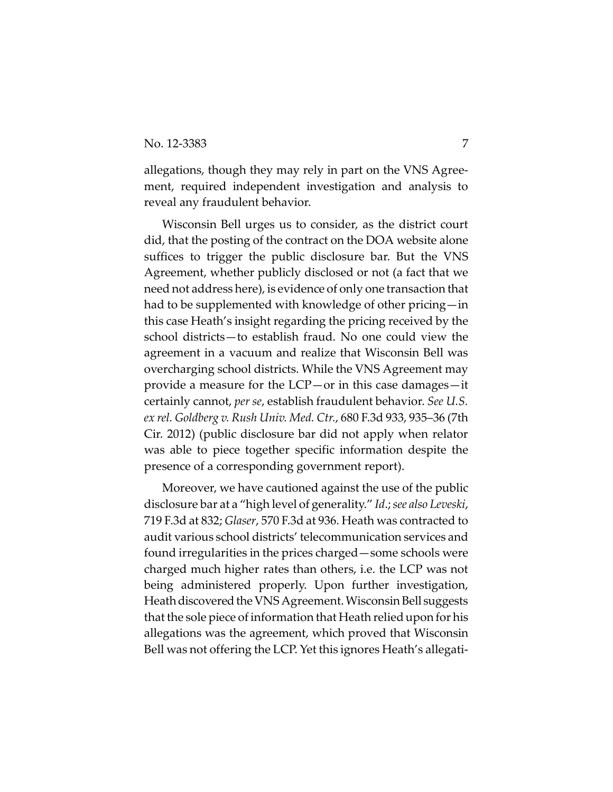allegations, though they may rely in part on the VNS Agreement, required independent investigation and analysis to reveal any fraudulent behavior.

Wisconsin Bell urges us to consider, as the district court did, that the posting of the contract on the DOA website alone suffices to trigger the public disclosure bar. But the VNS Agreement, whether publicly disclosed or not (a fact that we need not address here), is evidence of only one transaction that had to be supplemented with knowledge of other pricing—in this case Heath's insight regarding the pricing received by the school districts—to establish fraud. No one could view the agreement in a vacuum and realize that Wisconsin Bell was overcharging school districts. While the VNS Agreement may provide a measure for the LCP—or in this case damages—it certainly cannot, *per se*, establish fraudulent behavior. *See U.S. ex rel. Goldberg v. Rush Univ. Med. Ctr.*, 680 F.3d 933, 935–36 (7th Cir. 2012) (public disclosure bar did not apply when relator was able to piece together specific information despite the presence of a corresponding government report).

Moreover, we have cautioned against the use of the public disclosure bar at a "high level of generality." *Id*.; *see also Leveski*, 719 F.3d at 832; *Glaser*, 570 F.3d at 936. Heath was contracted to audit various school districts' telecommunication services and found irregularities in the prices charged—some schools were charged much higher rates than others, i.e. the LCP was not being administered properly. Upon further investigation, Heath discovered the VNS Agreement. Wisconsin Bell suggests that the sole piece of information that Heath relied upon for his allegations was the agreement, which proved that Wisconsin Bell was not offering the LCP. Yet this ignores Heath's allegati